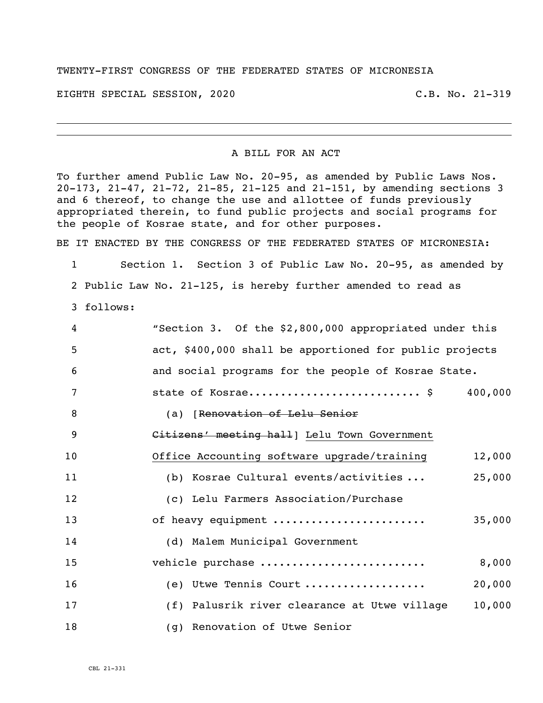## TWENTY-FIRST CONGRESS OF THE FEDERATED STATES OF MICRONESIA

EIGHTH SPECIAL SESSION, 2020 C.B. No. 21-319

i<br>L

## A BILL FOR AN ACT

To further amend Public Law No. 20-95, as amended by Public Laws Nos. 20-173, 21-47, 21-72, 21-85, 21-125 and 21-151, by amending sections 3 and 6 thereof, to change the use and allottee of funds previously appropriated therein, to fund public projects and social programs for the people of Kosrae state, and for other purposes.

BE IT ENACTED BY THE CONGRESS OF THE FEDERATED STATES OF MICRONESIA:

 Section 1. Section 3 of Public Law No. 20-95, as amended by Public Law No. 21-125, is hereby further amended to read as follows:

| 4              | "Section 3. Of the \$2,800,000 appropriated under this  |
|----------------|---------------------------------------------------------|
| 5              | act, \$400,000 shall be apportioned for public projects |
| 6              | and social programs for the people of Kosrae State.     |
| $\overline{7}$ | state of Kosrae\$ 400,000                               |
| 8              | (a) [Renovation of Lelu Senior                          |
| 9              | Citizens' meeting hall] Lelu Town Government            |
| 10             | Office Accounting software upgrade/training<br>12,000   |
| 11             | (b) Kosrae Cultural events/activities<br>25,000         |
| 12             | (c) Lelu Farmers Association/Purchase                   |
| 13             | of heavy equipment<br>35,000                            |
| 14             | (d) Malem Municipal Government                          |
| 15             | vehicle purchase<br>8,000                               |
| 16             | (e) Utwe Tennis Court<br>20,000                         |
| 17             | (f) Palusrik river clearance at Utwe village<br>10,000  |
| 18             | (g) Renovation of Utwe Senior                           |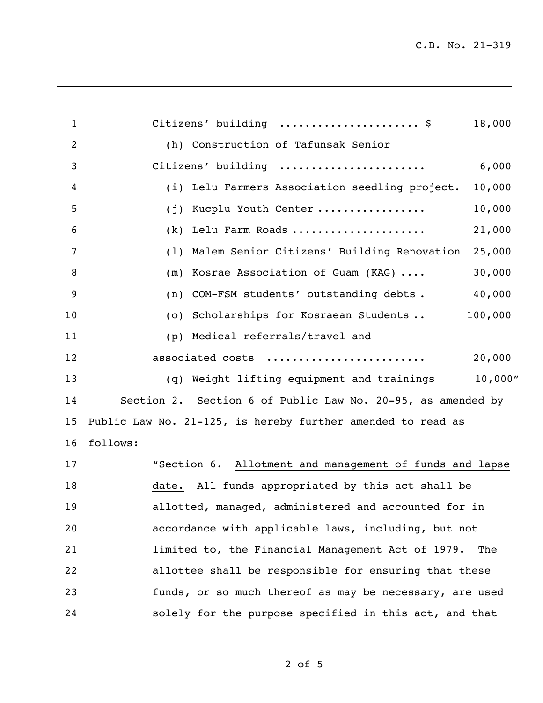C.B. No. 21-319

i<br>L

| $\mathbf{1}$   | Citizens' building  \$<br>18,000                            |
|----------------|-------------------------------------------------------------|
| $\overline{2}$ | (h) Construction of Tafunsak Senior                         |
| 3              | 6,000<br>Citizens' building                                 |
| 4              | (i) Lelu Farmers Association seedling project.<br>10,000    |
| 5              | (j) Kucplu Youth Center<br>10,000                           |
| 6              | (k) Lelu Farm Roads<br>21,000                               |
| 7              | (1) Malem Senior Citizens' Building Renovation<br>25,000    |
| 8              | (m) Kosrae Association of Guam (KAG)<br>30,000              |
| 9              | (n) COM-FSM students' outstanding debts.<br>40,000          |
| 10             | (o) Scholarships for Kosraean Students<br>100,000           |
| 11             | (p) Medical referrals/travel and                            |
| 12             | associated costs<br>20,000                                  |
| 13             | 10,000"<br>(q) Weight lifting equipment and trainings       |
| 14             | Section 2. Section 6 of Public Law No. 20-95, as amended by |
| 15             | Public Law No. 21-125, is hereby further amended to read as |
| 16             | follows:                                                    |
| 17             | "Section 6. Allotment and management of funds and lapse     |
| 18             | date. All funds appropriated by this act shall be           |
| 19             | allotted, managed, administered and accounted for in        |
| 20             | accordance with applicable laws, including, but not         |
| 21             | limited to, the Financial Management Act of 1979.<br>The    |
| 22             | allottee shall be responsible for ensuring that these       |
| 23             | funds, or so much thereof as may be necessary, are used     |
| 24             | solely for the purpose specified in this act, and that      |
|                |                                                             |

of 5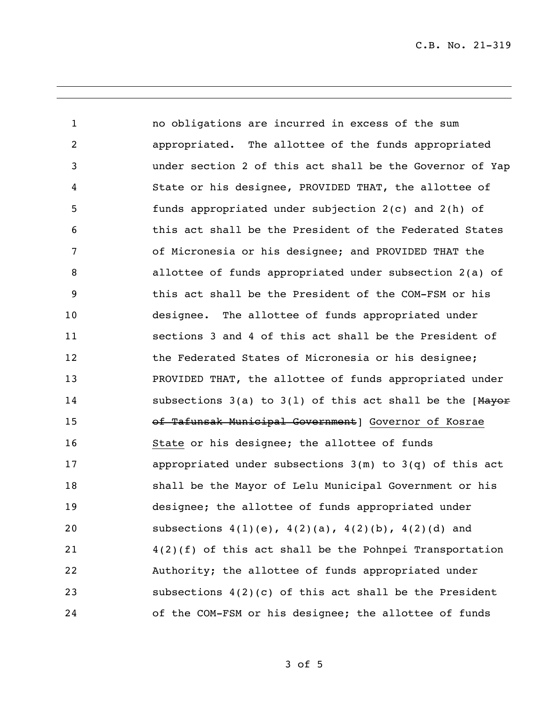C.B. No. 21-319

i<br>L

 no obligations are incurred in excess of the sum appropriated. The allottee of the funds appropriated under section 2 of this act shall be the Governor of Yap State or his designee, PROVIDED THAT, the allottee of funds appropriated under subjection 2(c) and 2(h) of this act shall be the President of the Federated States of Micronesia or his designee; and PROVIDED THAT the allottee of funds appropriated under subsection 2(a) of this act shall be the President of the COM-FSM or his designee. The allottee of funds appropriated under sections 3 and 4 of this act shall be the President of the Federated States of Micronesia or his designee; PROVIDED THAT, the allottee of funds appropriated under 14 subsections 3(a) to 3(1) of this act shall be the [Mayor of Tafunsak Municipal Government] Governor of Kosrae State or his designee; the allottee of funds appropriated under subsections 3(m) to 3(q) of this act shall be the Mayor of Lelu Municipal Government or his designee; the allottee of funds appropriated under subsections 4(1)(e), 4(2)(a), 4(2)(b), 4(2)(d) and 4(2)(f) of this act shall be the Pohnpei Transportation Authority; the allottee of funds appropriated under subsections 4(2)(c) of this act shall be the President of the COM-FSM or his designee; the allottee of funds

of 5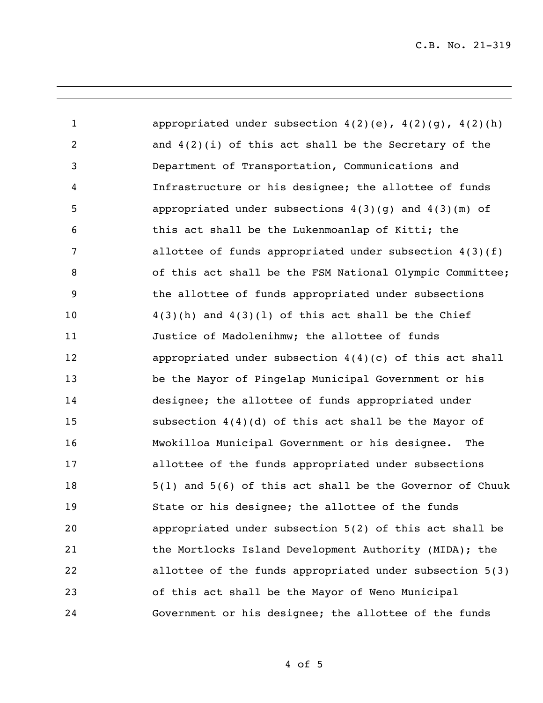C.B. No. 21-319

i<br>L

1 appropriated under subsection  $4(2)(e)$ ,  $4(2)(q)$ ,  $4(2)(h)$  and 4(2)(i) of this act shall be the Secretary of the Department of Transportation, Communications and Infrastructure or his designee; the allottee of funds appropriated under subsections 4(3)(g) and 4(3)(m) of this act shall be the Lukenmoanlap of Kitti; the allottee of funds appropriated under subsection 4(3)(f) 8 6 6 of this act shall be the FSM National Olympic Committee; the allottee of funds appropriated under subsections  $4(3)(h)$  and  $4(3)(1)$  of this act shall be the Chief Justice of Madolenihmw; the allottee of funds appropriated under subsection 4(4)(c) of this act shall be the Mayor of Pingelap Municipal Government or his designee; the allottee of funds appropriated under subsection 4(4)(d) of this act shall be the Mayor of Mwokilloa Municipal Government or his designee. The allottee of the funds appropriated under subsections 5(1) and 5(6) of this act shall be the Governor of Chuuk State or his designee; the allottee of the funds appropriated under subsection 5(2) of this act shall be the Mortlocks Island Development Authority (MIDA); the allottee of the funds appropriated under subsection 5(3) of this act shall be the Mayor of Weno Municipal Government or his designee; the allottee of the funds

of 5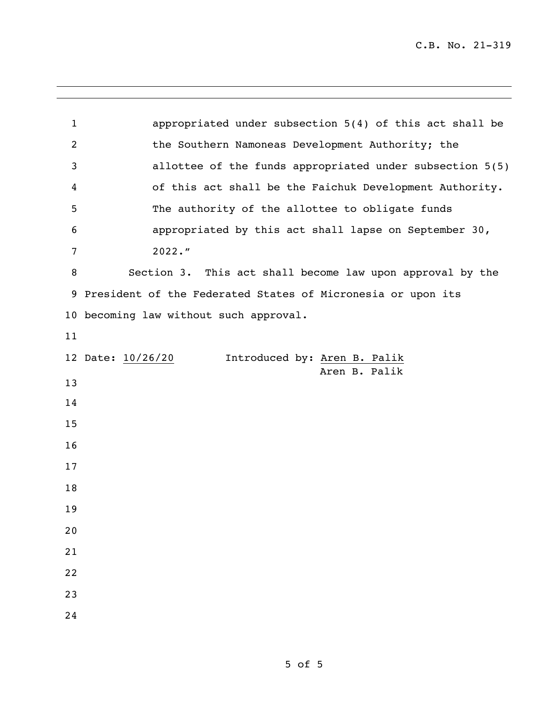i<br>L

| $\mathbf{1}$ | appropriated under subsection 5(4) of this act shall be       |
|--------------|---------------------------------------------------------------|
| 2            | the Southern Namoneas Development Authority; the              |
| 3            | allottee of the funds appropriated under subsection 5(5)      |
| 4            | of this act shall be the Faichuk Development Authority.       |
| 5            | The authority of the allottee to obligate funds               |
| 6            | appropriated by this act shall lapse on September 30,         |
| 7            | $2022.$ "                                                     |
| 8            | Section 3. This act shall become law upon approval by the     |
|              | 9 President of the Federated States of Micronesia or upon its |
|              | 10 becoming law without such approval.                        |
| 11           |                                                               |
|              | 12 Date: 10/26/20<br>Introduced by: Aren B. Palik             |
| 13           | Aren B. Palik                                                 |
| 14           |                                                               |
| 15           |                                                               |
| 16           |                                                               |
| 17           |                                                               |
| 18           |                                                               |
| 19           |                                                               |
| 20           |                                                               |
| 21           |                                                               |
| 22           |                                                               |
| 23           |                                                               |
| 24           |                                                               |